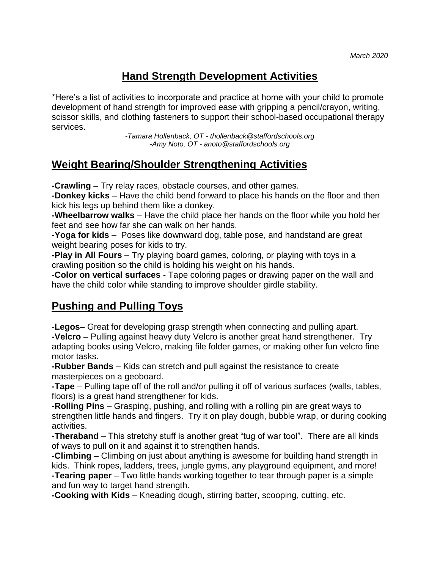## **Hand Strength Development Activities**

\*Here's a list of activities to incorporate and practice at home with your child to promote development of hand strength for improved ease with gripping a pencil/crayon, writing, scissor skills, and clothing fasteners to support their school-based occupational therapy services.

> *-Tamara Hollenback, OT - thollenback@staffordschools.org -Amy Noto, OT - anoto@staffordschools.org*

## **Weight Bearing/Shoulder Strengthening Activities**

**-Crawling** – Try relay races, obstacle courses, and other games.

**-Donkey kicks** – Have the child bend forward to place his hands on the floor and then kick his legs up behind them like a donkey.

**-Wheelbarrow walks** – Have the child place her hands on the floor while you hold her feet and see how far she can walk on her hands.

-**[Yoga for kids](http://theinspiredtreehouse.com/yoga-for-kids/)** – Poses like [downward dog,](http://theinspiredtreehouse.com/gross-motor-activities-downward-dog/) table pose, and handstand are great weight bearing poses for kids to try.

**-Play in All Fours** – Try playing board games, coloring, or playing with toys in a crawling position so the child is holding his weight on his hands.

-**Color on vertical surfaces** - Tape coloring pages or drawing paper on the wall and have the child color while standing to improve shoulder girdle stability.

## **Pushing and Pulling Toys**

-**[Legos](http://www.amazon.com/gp/product/B00NHQFA1I/ref=as_li_qf_sp_asin_il_tl?ie=UTF8&camp=1789&creative=9325&creativeASIN=B00NHQFA1I&linkCode=as2&tag=theinsptree0f-20&linkId=DVRJGE3AEZXL4STY)**– Great for developing grasp strength when connecting and pulling apart.

**-Velcro** – Pulling against heavy duty [Velcro](http://www.amazon.com/gp/product/B00006IC2T/ref=as_li_qf_sp_asin_il_tl?ie=UTF8&camp=1789&creative=9325&creativeASIN=B00006IC2T&linkCode=as2&tag=theinsptree0f-20&linkId=C6H3XFIB264P4ZRI) is another great hand strengthener. Try [adapting books using Velcro,](http://littlemisskimberlyann.blogspot.com/2013/09/tips-for-adapting-books-for-kids-with.html) making [file folder games,](http://kidsactivitiesblog.com/9088/file-folder-games) or making other fun [velcro fine](http://lalymom.com/2014/03/ten-diy-velcro-fine-motor-activities-toddlers.html)  [motor tasks.](http://lalymom.com/2014/03/ten-diy-velcro-fine-motor-activities-toddlers.html)

**-Rubber Bands** – Kids can stretch and pull against the resistance to create masterpieces on a [geoboard.](http://www.amazon.com/gp/product/B000QDZY52/ref=as_li_qf_sp_asin_il_tl?ie=UTF8&camp=1789&creative=9325&creativeASIN=B000QDZY52&linkCode=as2&tag=theinsptree0f-20&linkId=FVDR7WMYNGUNS726)

**-Tape** – Pulling tape off of the roll and/or pulling it off of various surfaces (walls, tables, floors) is a great hand strengthener for kids.

-**Rolling Pins** – Grasping, pushing, and rolling with a rolling pin are great ways to strengthen little hands and fingers. Try it on play dough, [bubble wrap,](http://theinspiredtreehouse.com/movement-monday-gross-motor-play-ideas-bubble-wrap/) or during cooking activities.

**[-Theraband](http://www.amazon.com/gp/product/B001EU9M1S/ref=as_li_qf_sp_asin_il_tl?ie=UTF8&camp=1789&creative=9325&creativeASIN=B001EU9M1S&linkCode=as2&tag=theinsptree0f-20&linkId=POR6NVJTRFECNMRL)** – This stretchy stuff is another great "tug of war tool". There are all kinds of ways to pull on it and against it to strengthen hands.

**-Climbing** – Climbing on just about anything is awesome for building hand strength in kids. Think ropes, ladders, trees, jungle gyms, any playground equipment, and more! **[-Tearing paper](http://theinspiredtreehouse.com/therapy-thursday-easy-crafts-for-preschoolers/)** – Two little hands working together to tear through paper is a simple and fun way to target hand strength.

**[-Cooking with Kids](http://theinspiredtreehouse.com/cooking-with-kids-easy-peanut-butter-caramel-apple-dip/)** – Kneading dough, stirring batter, scooping, cutting, etc.